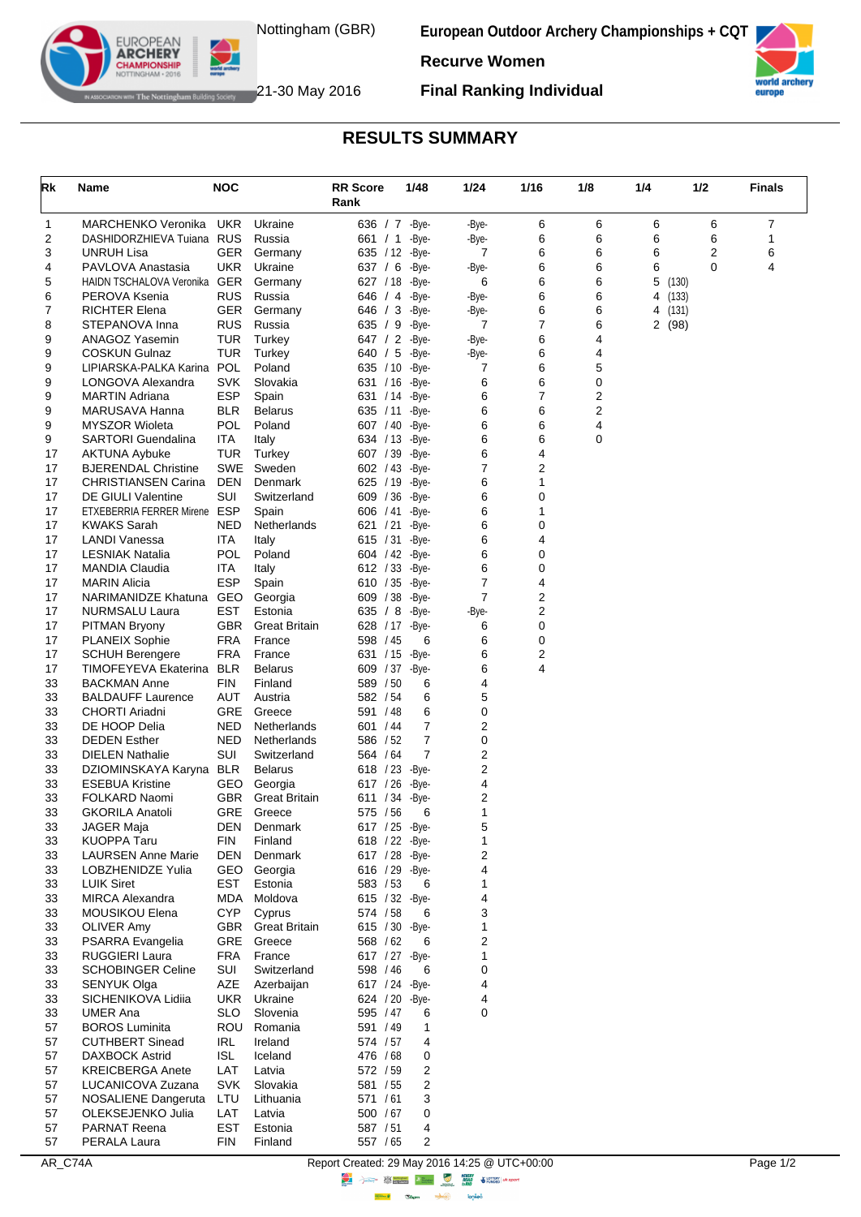

**European Outdoor Archery Championships + CQT**



The Nottingham Building Society 21-30 May 2016

EUROPEAN **ARCHERY** 

**Final Ranking Individual**

**Recurve Women**

## **RESULTS SUMMARY**

| Rk       | Name                                            | <b>NOC</b>               |                                 | <b>RR Score</b><br>Rank | 1/48                     | 1/24           | 1/16           | 1/8    | 1/4                      | 1/2 | <b>Finals</b> |
|----------|-------------------------------------------------|--------------------------|---------------------------------|-------------------------|--------------------------|----------------|----------------|--------|--------------------------|-----|---------------|
| 1        | <b>MARCHENKO Veronika</b>                       | <b>UKR</b>               | Ukraine                         |                         | 636 / 7 - Bye-           | -Bye-          | 6              | 6      | 6                        | 6   | 7             |
| 2        | DASHIDORZHIEVA Tuiana RUS                       |                          | Russia                          | 661 / 1                 | -Bye-                    | -Bye-          | 6              | 6      | 6                        | 6   | 1             |
| 3        | UNRUH Lisa                                      | <b>GER</b>               | Germany                         | 635 / 12                | -Bye-                    | 7              | 6              | 6      | 6                        | 2   | 6             |
| 4        | PAVLOVA Anastasia                               | UKR                      | Ukraine                         | 637 / 6                 | -Bye-                    | -Bye-          | 6              | 6      | 6                        | 0   | 4             |
| 5        | HAIDN TSCHALOVA Veronika GER                    |                          | Germany                         | 627 / 18                | -Bye-                    | 6              | 6              | 6      | 5<br>(130)               |     |               |
| 6<br>7   | PEROVA Ksenia<br>RICHTER Elena                  | <b>RUS</b><br>GER        | Russia<br>Germany               | 646 / 4<br>646 / 3      | -Bye-<br>-Bye-           | -Bye-<br>-Bye- | 6<br>6         | 6<br>6 | (133)<br>4<br>4<br>(131) |     |               |
| 8        | STEPANOVA Inna                                  | <b>RUS</b>               | Russia                          | 635 / 9                 | -Bye-                    | 7              | 7              | 6      | 2(98)                    |     |               |
| 9        | ANAGOZ Yasemin                                  | TUR                      | Turkey                          | 647 / 2                 | -Bye-                    | -Bye-          | 6              | 4      |                          |     |               |
| 9        | <b>COSKUN Gulnaz</b>                            | TUR                      | Turkey                          | 640 / 5                 | -Bye-                    | -Bye-          | 6              | 4      |                          |     |               |
| 9        | LIPIARSKA-PALKA Karina                          | <b>POL</b>               | Poland                          | 635 / 10                | -Bye-                    | 7              | 6              | 5      |                          |     |               |
| 9        | LONGOVA Alexandra                               | <b>SVK</b>               | Slovakia                        | 631 / 16                | -Bye-                    | 6              | 6              | 0      |                          |     |               |
| 9        | <b>MARTIN Adriana</b>                           | <b>ESP</b>               | Spain                           | 631 / 14                | -Bye-                    | 6              | 7              | 2      |                          |     |               |
| 9<br>9   | MARUSAVA Hanna<br><b>MYSZOR Wioleta</b>         | <b>BLR</b><br>POL        | <b>Belarus</b><br>Poland        | 635 / 11<br>607 / 40    | -Bye-<br>-Bye-           | 6<br>6         | 6<br>6         | 2<br>4 |                          |     |               |
| 9        | <b>SARTORI Guendalina</b>                       | ITA                      | Italy                           |                         | 634 / 13 - Bye-          | 6              | 6              | 0      |                          |     |               |
| 17       | <b>AKTUNA Aybuke</b>                            | TUR                      | Turkey                          | 607 / 39                | -Bye-                    | 6              | 4              |        |                          |     |               |
| 17       | <b>BJERENDAL Christine</b>                      | <b>SWE</b>               | Sweden                          | 602 / 43                | -Bye-                    | 7              | 2              |        |                          |     |               |
| 17       | <b>CHRISTIANSEN Carina</b>                      | <b>DEN</b>               | Denmark                         | 625 / 19                | -Bye-                    | 6              | 1              |        |                          |     |               |
| 17       | DE GIULI Valentine                              | SUI                      | Switzerland                     | 609 / 36                | -Bye-                    | 6              | 0              |        |                          |     |               |
| 17       | ETXEBERRIA FERRER Mirene ESP                    |                          | Spain                           | 606 / 41                | -Bye-                    | 6              | 1              |        |                          |     |               |
| 17       | <b>KWAKS Sarah</b><br><b>LANDI Vanessa</b>      | <b>NED</b>               | Netherlands                     | 621 / 21                | -Bye-                    | 6<br>6         | 0<br>4         |        |                          |     |               |
| 17<br>17 | <b>LESNIAK Natalia</b>                          | ITA<br>POL               | Italy<br>Poland                 | 615 / 31                | -Bye-<br>604 / 42 - Bye- | 6              | 0              |        |                          |     |               |
| 17       | <b>MANDIA Claudia</b>                           | ITA                      | Italy                           | 612 / 33                | -Bye-                    | 6              | 0              |        |                          |     |               |
| 17       | <b>MARIN Alicia</b>                             | <b>ESP</b>               | Spain                           | 610 / 35                | -Bye-                    | 7              | 4              |        |                          |     |               |
| 17       | NARIMANIDZE Khatuna                             | GEO                      | Georgia                         | 609 / 38                | -Bye-                    | $\overline{7}$ | 2              |        |                          |     |               |
| 17       | NURMSALU Laura                                  | EST                      | Estonia                         | 635 / 8                 | -Bye-                    | -Bye-          | $\overline{2}$ |        |                          |     |               |
| 17       | <b>PITMAN Bryony</b>                            | <b>GBR</b>               | <b>Great Britain</b>            | 628 / 17                | -Bye-                    | 6              | 0              |        |                          |     |               |
| 17       | <b>PLANEIX Sophie</b>                           | <b>FRA</b>               | France                          | 598 / 45                | 6                        | 6              | 0              |        |                          |     |               |
| 17       | <b>SCHUH Berengere</b>                          | FRA                      | France                          | 631 / 15                | -Bye-                    | 6              | 2<br>4         |        |                          |     |               |
| 17<br>33 | TIMOFEYEVA Ekaterina<br><b>BACKMAN Anne</b>     | <b>BLR</b><br><b>FIN</b> | <b>Belarus</b><br>Finland       | 609 / 37<br>589 / 50    | -Bye-<br>6               | 6<br>4         |                |        |                          |     |               |
| 33       | <b>BALDAUFF Laurence</b>                        | AUT                      | Austria                         | 582 / 54                | 6                        | 5              |                |        |                          |     |               |
| 33       | <b>CHORTI Ariadni</b>                           | GRE                      | Greece                          | 591 / 48                | 6                        | 0              |                |        |                          |     |               |
| 33       | DE HOOP Delia                                   | NED                      | Netherlands                     | 601 / 44                | 7                        | 2              |                |        |                          |     |               |
| 33       | <b>DEDEN Esther</b>                             | NED                      | Netherlands                     | 586 / 52                | 7                        | 0              |                |        |                          |     |               |
| 33       | <b>DIELEN Nathalie</b>                          | SUI                      | Switzerland                     | 564 / 64                | $\overline{7}$           | 2              |                |        |                          |     |               |
| 33       | DZIOMINSKAYA Karyna BLR                         |                          | <b>Belarus</b>                  |                         | 618 / 23 - Bye-          | 2              |                |        |                          |     |               |
| 33<br>33 | <b>ESEBUA Kristine</b><br>FOLKARD Naomi         | GEO<br><b>GBR</b>        | Georgia<br><b>Great Britain</b> | 617 / 26<br>611 / 34    | -Bye-<br>-Bye-           | 4<br>2         |                |        |                          |     |               |
| 33       | <b>GKORILA Anatoli</b>                          | GRE                      | Greece                          | 575 / 56                | 6                        | 1              |                |        |                          |     |               |
| 33       | <b>JAGER Maja</b>                               | DEN                      | Denmark                         |                         | 617 / 25 - Bye-          | 5              |                |        |                          |     |               |
| 33       | <b>KUOPPA Taru</b>                              | FIN                      | Finland                         |                         | 618 / 22 - Bye-          | 1              |                |        |                          |     |               |
| 33       | <b>LAURSEN Anne Marie</b>                       | DEN                      | Denmark                         |                         | 617 / 28 - Bye-          | 2              |                |        |                          |     |               |
| 33       | <b>LOBZHENIDZE Yulia</b>                        |                          | GEO Georgia                     |                         | 616 / 29 - Bye-          | 4              |                |        |                          |     |               |
| 33       | <b>LUIK Siret</b>                               | EST                      | Estonia                         | 583 / 53                | 6                        | 1              |                |        |                          |     |               |
| 33<br>33 | <b>MIRCA Alexandra</b><br>MOUSIKOU Elena        | MDA<br><b>CYP</b>        | Moldova<br>Cyprus               | 574 / 58                | 615 / 32 - Bye-<br>6     | 4<br>3         |                |        |                          |     |               |
| 33       | <b>OLIVER Amy</b>                               | GBR                      | <b>Great Britain</b>            |                         | 615 / 30 - Bye-          | 1              |                |        |                          |     |               |
| 33       | PSARRA Evangelia                                |                          | GRE Greece                      | 568 / 62                | 6                        | 2              |                |        |                          |     |               |
| 33       | <b>RUGGIERI Laura</b>                           | FRA                      | France                          |                         | 617 / 27 - Bye-          | 1              |                |        |                          |     |               |
| 33       | <b>SCHOBINGER Celine</b>                        | SUI                      | Switzerland                     | 598 / 46                | 6                        | 0              |                |        |                          |     |               |
| 33       | SENYUK Olga                                     | AZE                      | Azerbaijan                      |                         | 617 / 24 - Bye-          | 4              |                |        |                          |     |               |
| 33       | SICHENIKOVA Lidiia                              | UKR                      | Ukraine                         |                         | 624 / 20 - Bye-          | 4              |                |        |                          |     |               |
| 33       | <b>UMER Ana</b>                                 | <b>SLO</b>               | Slovenia                        | 595 / 47                | 6                        | 0              |                |        |                          |     |               |
| 57<br>57 | <b>BOROS Luminita</b><br><b>CUTHBERT Sinead</b> | IRL                      | ROU Romania<br>Ireland          | 591 / 49<br>574 / 57    | $\mathbf{1}$<br>4        |                |                |        |                          |     |               |
| 57       | <b>DAXBOCK Astrid</b>                           | ISL                      | Iceland                         | 476 / 68                | 0                        |                |                |        |                          |     |               |
| 57       | <b>KREICBERGA Anete</b>                         | LAT                      | Latvia                          | 572 / 59                | 2                        |                |                |        |                          |     |               |
| 57       | LUCANICOVA Zuzana                               | <b>SVK</b>               | Slovakia                        | 581 / 55                | 2                        |                |                |        |                          |     |               |
| 57       | NOSALIENE Dangeruta                             | LTU                      | Lithuania                       | 571 / 61                | 3                        |                |                |        |                          |     |               |
| 57       | OLEKSEJENKO Julia                               | LAT                      | Latvia                          | 500 / 67                | 0                        |                |                |        |                          |     |               |
| 57       | <b>PARNAT Reena</b>                             | EST                      | Estonia                         | 587 / 51                | 4                        |                |                |        |                          |     |               |
| 57       | PERALA Laura                                    | FIN                      | Finland                         | 557 / 65                | 2                        |                |                |        |                          |     |               |

AR\_C74A Report Created: 29 May 2016 14:25 @ UTC+00:00 Page 1/2